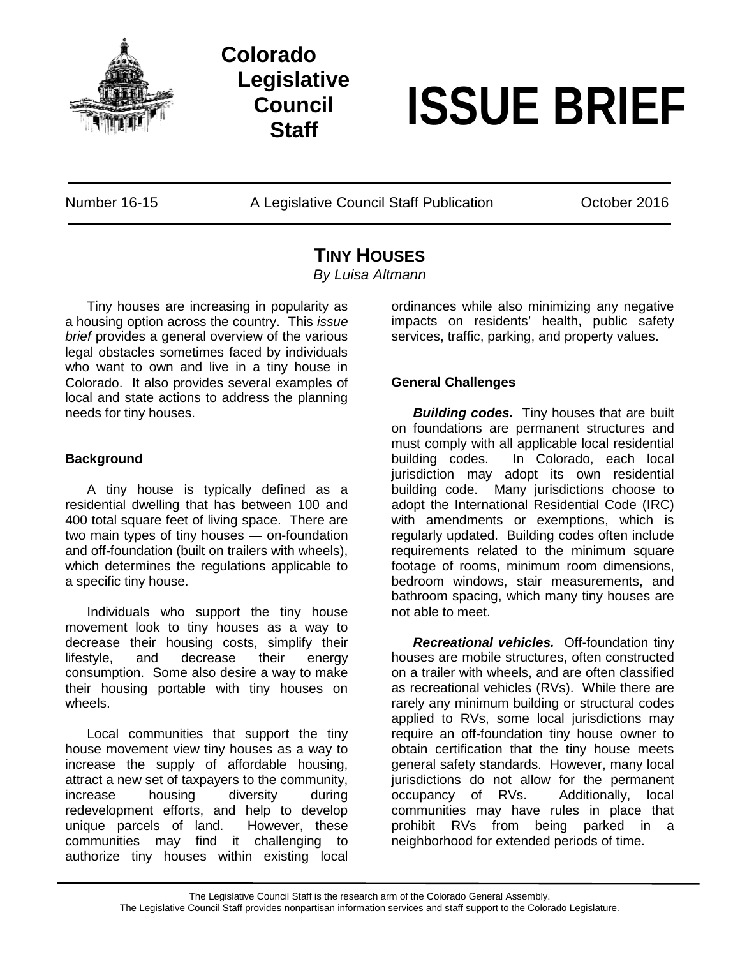

## **Colorado Legislative Council**

# **Staff ISSUE BRIEF**

Number 16-15 A Legislative Council Staff Publication Cotober 2016

### **TINY HOUSES**

*By Luisa Altmann*

Tiny houses are increasing in popularity as a housing option across the country. This *issue brief* provides a general overview of the various legal obstacles sometimes faced by individuals who want to own and live in a tiny house in Colorado. It also provides several examples of local and state actions to address the planning needs for tiny houses.

#### **Background**

A tiny house is typically defined as a residential dwelling that has between 100 and 400 total square feet of living space. There are two main types of tiny houses — on-foundation and off-foundation (built on trailers with wheels), which determines the regulations applicable to a specific tiny house.

Individuals who support the tiny house movement look to tiny houses as a way to decrease their housing costs, simplify their lifestyle, and decrease their energy consumption. Some also desire a way to make their housing portable with tiny houses on wheels.

Local communities that support the tiny house movement view tiny houses as a way to increase the supply of affordable housing, attract a new set of taxpayers to the community, increase housing diversity during redevelopment efforts, and help to develop unique parcels of land. However, these communities may find it challenging to authorize tiny houses within existing local

ordinances while also minimizing any negative impacts on residents' health, public safety services, traffic, parking, and property values.

#### **General Challenges**

*Building codes.* Tiny houses that are built on foundations are permanent structures and must comply with all applicable local residential building codes. In Colorado, each local jurisdiction may adopt its own residential building code. Many jurisdictions choose to adopt the International Residential Code (IRC) with amendments or exemptions, which is regularly updated. Building codes often include requirements related to the minimum square footage of rooms, minimum room dimensions, bedroom windows, stair measurements, and bathroom spacing, which many tiny houses are not able to meet.

*Recreational vehicles.* Off-foundation tiny houses are mobile structures, often constructed on a trailer with wheels, and are often classified as recreational vehicles (RVs). While there are rarely any minimum building or structural codes applied to RVs, some local jurisdictions may require an off-foundation tiny house owner to obtain certification that the tiny house meets general safety standards. However, many local jurisdictions do not allow for the permanent occupancy of RVs. Additionally, local communities may have rules in place that prohibit RVs from being parked in a neighborhood for extended periods of time.